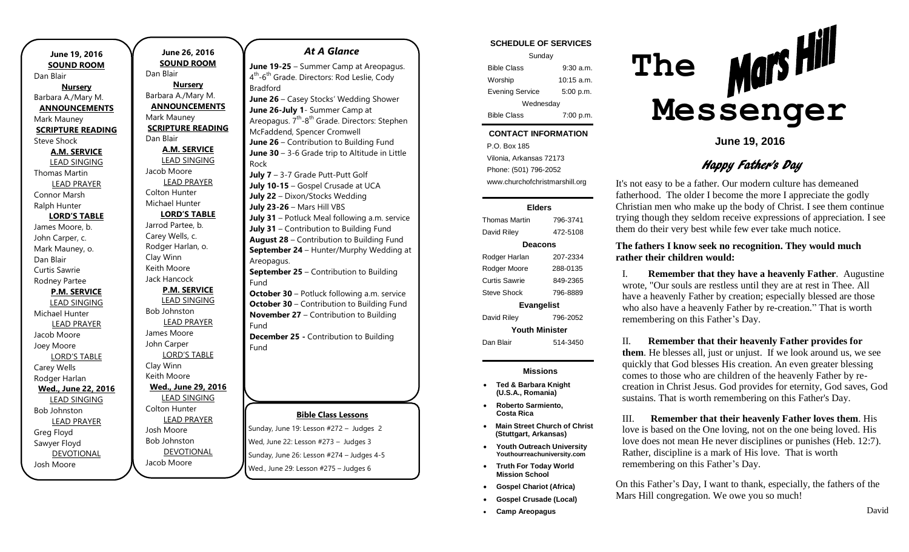| June 19, 2016            | <b>June 26,</b>     |
|--------------------------|---------------------|
| <b>SOUND ROOM</b>        | <b>SOUND R</b>      |
| Dan Blair                | Dan Blair           |
| <b>Nursery</b>           | <b>Nurse</b>        |
| Barbara A./Mary M.       | Barbara A./Ma       |
| <b>ANNOUNCEMENTS</b>     | <b>ANNOUNCI</b>     |
| Mark Mauney              | Mark Mauney         |
| <b>SCRIPTURE READING</b> | <b>SCRIPTURE I</b>  |
| <b>Steve Shock</b>       | Dan Blair           |
| <b>A.M. SERVICE</b>      | A.M. SER            |
| <b>LEAD SINGING</b>      | <b>LEAD SIN</b>     |
| Thomas Martin            | Jacob Moore         |
| <b>LEAD PRAYER</b>       | <b>LEAD PR</b>      |
| Connor Marsh             | Colton Hunter       |
| Ralph Hunter             | Michael Hunt        |
| <b>LORD'S TABLE</b>      | <b>LORD'S T</b>     |
| James Moore, b.          | Jarrod Partee,      |
| John Carper, c.          | Carey Wells, c      |
| Mark Mauney, o.          | Rodger Harlar       |
| Dan Blair                | Clay Winn           |
| <b>Curtis Sawrie</b>     | Keith Moore         |
| Rodney Partee            | Jack Hancock        |
| <b>P.M. SERVICE</b>      | P.M. SER            |
| <b>LEAD SINGING</b>      | <b>LEAD SIN</b>     |
| Michael Hunter           | <b>Bob Johnston</b> |
| <b>LEAD PRAYER</b>       | <b>LEAD PR</b>      |
| Jacob Moore              | James Moore         |
| Joey Moore               | John Carper         |
| <b>LORD'S TABLE</b>      | <b>LORD'S T</b>     |
| Carey Wells              | Clay Winn           |
| Rodger Harlan            | Keith Moore         |
| Wed., June 22, 2016      | Wed., June          |
| <b>LEAD SINGING</b>      | <b>LEAD SIN</b>     |
| <b>Bob Johnston</b>      | Colton Hunter       |
| <b>LEAD PRAYER</b>       | <b>LEAD PR</b>      |
| Greg Floyd               | Josh Moore          |
| Sawyer Floyd             | <b>Bob Johnston</b> |
| <b>DEVOTIONAL</b>        | <b>DEVOTIC</b>      |
| Josh Moore               | Jacob Moore         |

**June 26, 2016 SOUND ROOM** air l **Nursery** A./Mary M. **OUNCEMENTS** 1auney **TURE READING** ıir I **A.M. SERVICE AD SINGING** Aoore **AD PRAYER** Hunter **Hunter RD'S TABLE** Partee, b. Wells, c. Harlan, o. inn 1oore **Incock P.M. SERVICE AD SINGING n**ston **AD PRAYER** Moore arper RD'S TABLE inn 1oore **June 29, 2016 AD SINGING** Hunter **AD PRAYER** oore **n**ston EVOTIONAL Fund

#### *At A Glance*

**June 19-25** – Summer Camp at Areopagus. 4<sup>th</sup>-6<sup>th</sup> Grade. Directors: Rod Leslie, Cody Bradford **June 26** – Casey Stocks' Wedding Shower **June 26-July 1**- Summer Camp at Areopagus. 7<sup>th</sup>-8<sup>th</sup> Grade. Directors: Stephen McFaddend, Spencer Cromwell **June 26** – Contribution to Building Fund

**June 30** – 3-6 Grade trip to Altitude in Little Rock **July 7** – 3-7 Grade Putt-Putt Golf

**July 10-15** – Gospel Crusade at UCA **July 22** – Dixon/Stocks Wedding **July 23-26** – Mars Hill VBS **July 31** – Potluck Meal following a.m. service **July 31** – Contribution to Building Fund **August 28** – Contribution to Building Fund **September 24** – Hunter/Murphy Wedding at Areopagus. **September 25** – Contribution to Building

**October 30** – Potluck following a.m. service **October 30** – Contribution to Building Fund **November 27** – Contribution to Building Fund

**December 25 -** Contribution to Building Fund

#### **Bible Class Lessons**

Sunday, June 19: Lesson #272 – Judges 2 Wed, June 22: Lesson #273 – Judges 3 Sunday, June 26: Lesson #274 – Judges 4-5 Wed., June 29: Lesson #275 – Judges 6

|  | <b>SCHEDULE OF SERVICES</b> |  |  |  |  |
|--|-----------------------------|--|--|--|--|
|--|-----------------------------|--|--|--|--|

| Sunday                 |              |  |  |  |
|------------------------|--------------|--|--|--|
| <b>Bible Class</b>     | 9:30a.m.     |  |  |  |
| Worship                | $10:15$ a.m. |  |  |  |
| <b>Evening Service</b> | 5:00 p.m.    |  |  |  |
| Wednesday              |              |  |  |  |
| Bible Class            | 7:00 p.m.    |  |  |  |

#### Tuesday **CONTACT INFORMATION**

 $\mathcal{L}$ . Dex Foo a.m. Vilonia, Arkansas 72173 P.O. Box 185 Phone: (501) 796-2052 www.churchofchristmarshill.org

#### **Elders**

Thomas Martin 796-3741 David Riley 472-5108 **Deacons** Rodger Harlan 207-2334 Rodger Moore 288-0135 Curtis Sawrie 849-2365 Steve Shock 796-8889 **Evangelist** David Riley 796-2052 **Youth Minister** Dan Blair 514-3450

#### **Missions**

- **Ted & Barbara Knight (U.S.A., Romania)**
- **Roberto Sarmiento, Costa Rica**
- **Main Street Church of Christ (Stuttgart, Arkansas)**
- **Youth Outreach University Youthourreachuniversity.com**
- **Truth For Today World Mission School**
- **Gospel Chariot (Africa)**
- **Gospel Crusade (Local)**
- **Camp Areopagus**



**June 19, 2016**

## Happy Father's Day

It's not easy to be a father. Our modern culture has demeaned fatherhood. The older I become the more I appreciate the godly Christian men who make up the body of Christ. I see them continue trying though they seldom receive expressions of appreciation. I see them do their very best while few ever take much notice.

### **The fathers I know seek no recognition. They would much rather their children would:**

I. **Remember that they have a heavenly Father**. Augustine wrote, "Our souls are restless until they are at rest in Thee. All have a heavenly Father by creation; especially blessed are those who also have a heavenly Father by re-creation." That is worth remembering on this Father's Day.

#### II. **Remember that their heavenly Father provides for**

**them**. He blesses all, just or unjust. If we look around us, we see quickly that God blesses His creation. An even greater blessing comes to those who are children of the heavenly Father by recreation in Christ Jesus. God provides for eternity, God saves, God sustains. That is worth remembering on this Father's Day.

III. **Remember that their heavenly Father loves them**. His love is based on the One loving, not on the one being loved. His love does not mean He never disciplines or punishes (Heb. 12:7). Rather, discipline is a mark of His love. That is worth remembering on this Father's Day.

On this Father's Day, I want to thank, especially, the fathers of the Mars Hill congregation. We owe you so much!